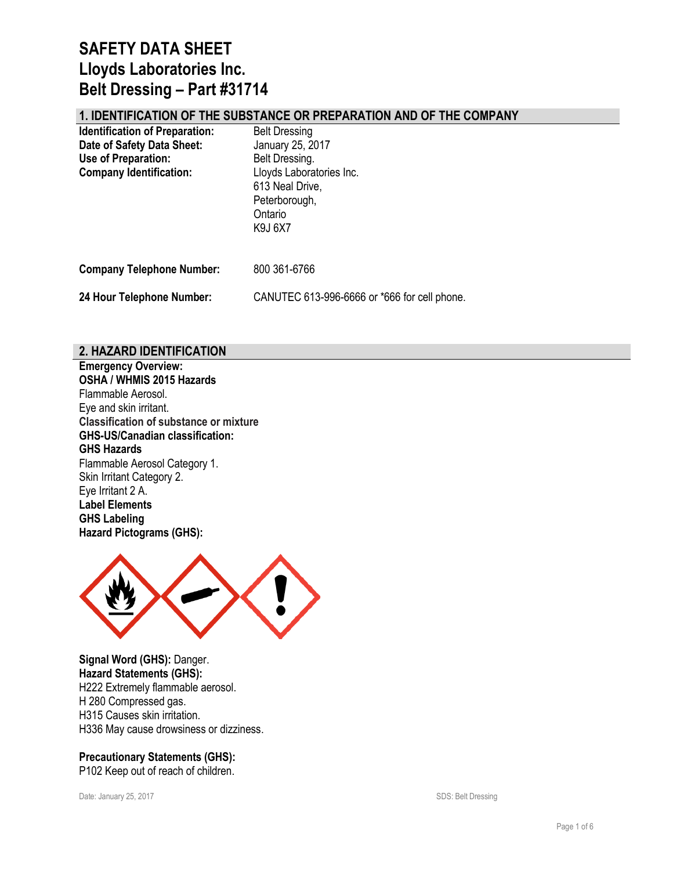## **1. IDENTIFICATION OF THE SUBSTANCE OR PREPARATION AND OF THE COMPANY**

| <b>Identification of Preparation:</b><br>Date of Safety Data Sheet:<br>Use of Preparation:<br><b>Company Identification:</b> | <b>Belt Dressing</b><br>January 25, 2017<br>Belt Dressing.<br>Lloyds Laboratories Inc.<br>613 Neal Drive,<br>Peterborough,<br>Ontario<br>K9J 6X7 |
|------------------------------------------------------------------------------------------------------------------------------|--------------------------------------------------------------------------------------------------------------------------------------------------|
| <b>Company Telephone Number:</b>                                                                                             | 800 361-6766                                                                                                                                     |
| 24 Hour Telephone Number:                                                                                                    | CANUTEC 613-996-6666 or *666 for cell phone.                                                                                                     |

### **2. HAZARD IDENTIFICATION**

**Emergency Overview: OSHA / WHMIS 2015 Hazards** Flammable Aerosol. Eye and skin irritant. **Classification of substance or mixture GHS-US/Canadian classification: GHS Hazards**  Flammable Aerosol Category 1. Skin Irritant Category 2. Eye Irritant 2 A. **Label Elements GHS Labeling Hazard Pictograms (GHS):**



**Signal Word (GHS):** Danger. **Hazard Statements (GHS):** H222 Extremely flammable aerosol. H 280 Compressed gas. H315 Causes skin irritation. H336 May cause drowsiness or dizziness.

**Precautionary Statements (GHS):** P102 Keep out of reach of children.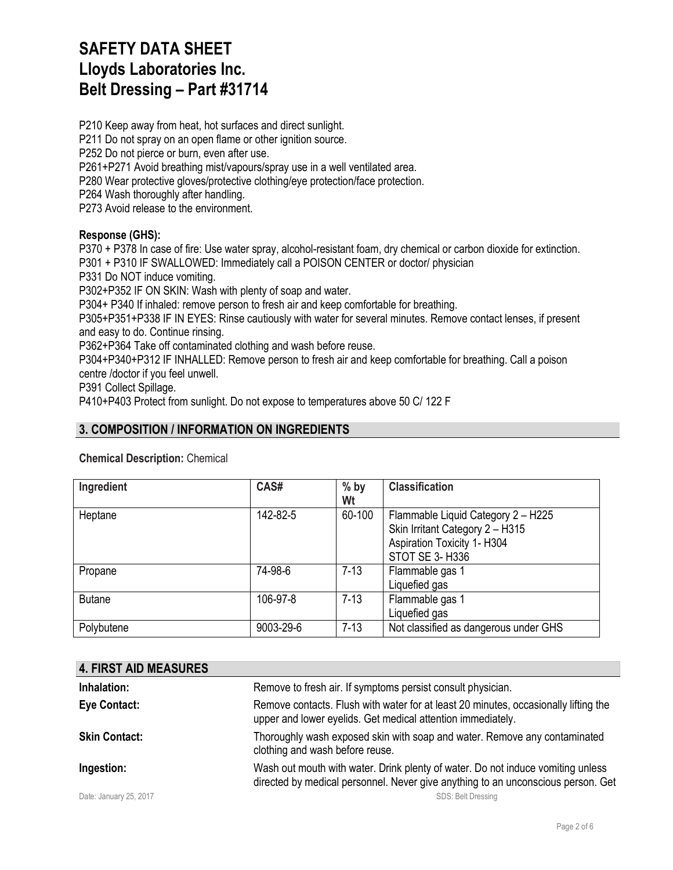P210 Keep away from heat, hot surfaces and direct sunlight. P211 Do not spray on an open flame or other ignition source. P252 Do not pierce or burn, even after use. P261+P271 Avoid breathing mist/vapours/spray use in a well ventilated area. P280 Wear protective gloves/protective clothing/eye protection/face protection. P264 Wash thoroughly after handling.

P273 Avoid release to the environment.

### **Response (GHS):**

P370 + P378 In case of fire: Use water spray, alcohol-resistant foam, dry chemical or carbon dioxide for extinction.

P301 + P310 IF SWALLOWED: Immediately call a POISON CENTER or doctor/ physician

P331 Do NOT induce vomiting.

P302+P352 IF ON SKIN: Wash with plenty of soap and water.

P304+ P340 If inhaled: remove person to fresh air and keep comfortable for breathing.

P305+P351+P338 IF IN EYES: Rinse cautiously with water for several minutes. Remove contact lenses, if present and easy to do. Continue rinsing.

P362+P364 Take off contaminated clothing and wash before reuse.

P304+P340+P312 IF INHALLED: Remove person to fresh air and keep comfortable for breathing. Call a poison

centre /doctor if you feel unwell.

P391 Collect Spillage.

P410+P403 Protect from sunlight. Do not expose to temperatures above 50 C/ 122 F

# **3. COMPOSITION / INFORMATION ON INGREDIENTS**

**Chemical Description:** Chemical

| Ingredient    | CAS#      | $%$ by<br>Wt | <b>Classification</b>                                                                                                          |
|---------------|-----------|--------------|--------------------------------------------------------------------------------------------------------------------------------|
| Heptane       | 142-82-5  | 60-100       | Flammable Liquid Category 2 - H225<br>Skin Irritant Category 2 - H315<br><b>Aspiration Toxicity 1- H304</b><br>STOT SE 3- H336 |
| Propane       | 74-98-6   | $7 - 13$     | Flammable gas 1<br>Liquefied gas                                                                                               |
| <b>Butane</b> | 106-97-8  | $7 - 13$     | Flammable gas 1<br>Liquefied gas                                                                                               |
| Polybutene    | 9003-29-6 | $7 - 13$     | Not classified as dangerous under GHS                                                                                          |

| <b>4. FIRST AID MEASURES</b> |                                                                                                                                                                     |
|------------------------------|---------------------------------------------------------------------------------------------------------------------------------------------------------------------|
| Inhalation:                  | Remove to fresh air. If symptoms persist consult physician.                                                                                                         |
| Eye Contact:                 | Remove contacts. Flush with water for at least 20 minutes, occasionally lifting the<br>upper and lower eyelids. Get medical attention immediately.                  |
| <b>Skin Contact:</b>         | Thoroughly wash exposed skin with soap and water. Remove any contaminated<br>clothing and wash before reuse.                                                        |
| Ingestion:                   | Wash out mouth with water. Drink plenty of water. Do not induce vomiting unless<br>directed by medical personnel. Never give anything to an unconscious person. Get |
| Date: January 25, 2017       | <b>SDS: Belt Dressing</b>                                                                                                                                           |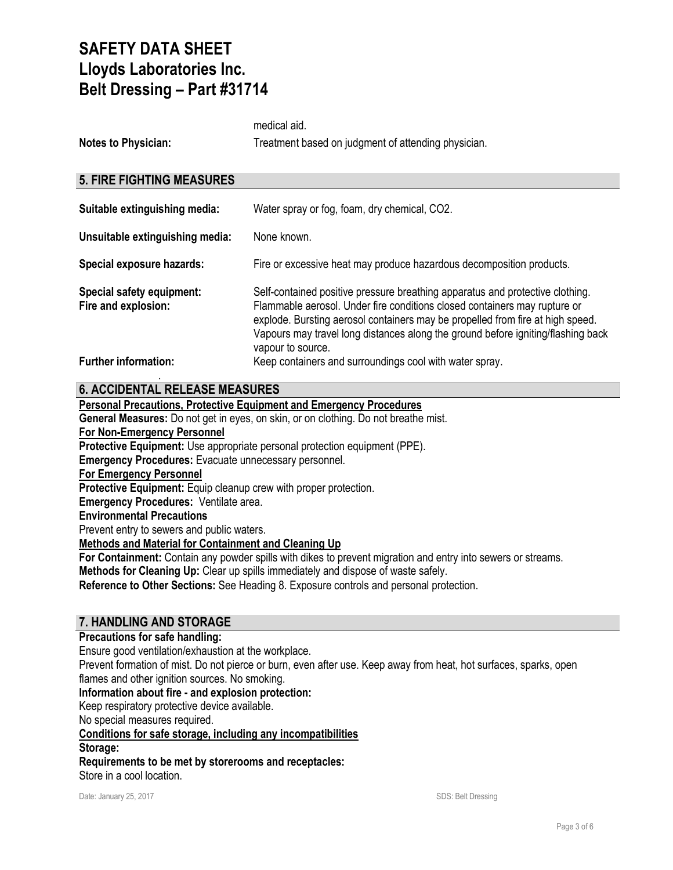| <b>Notes to Physician:</b>                       | Treatment based on judgment of attending physician.                                                                                                                                                                                                                                                                                                   |
|--------------------------------------------------|-------------------------------------------------------------------------------------------------------------------------------------------------------------------------------------------------------------------------------------------------------------------------------------------------------------------------------------------------------|
| <b>5. FIRE FIGHTING MEASURES</b>                 |                                                                                                                                                                                                                                                                                                                                                       |
| Suitable extinguishing media:                    | Water spray or fog, foam, dry chemical, CO2.                                                                                                                                                                                                                                                                                                          |
| Unsuitable extinguishing media:                  | None known.                                                                                                                                                                                                                                                                                                                                           |
| Special exposure hazards:                        | Fire or excessive heat may produce hazardous decomposition products.                                                                                                                                                                                                                                                                                  |
| Special safety equipment:<br>Fire and explosion: | Self-contained positive pressure breathing apparatus and protective clothing.<br>Flammable aerosol. Under fire conditions closed containers may rupture or<br>explode. Bursting aerosol containers may be propelled from fire at high speed.<br>Vapours may travel long distances along the ground before igniting/flashing back<br>vapour to source. |

#### **Further information: Keep containers and surroundings cool with water spray.** .

medical aid.

## **6. ACCIDENTAL RELEASE MEASURES**

#### **Personal Precautions, Protective Equipment and Emergency Procedures**

**General Measures:** Do not get in eyes, on skin, or on clothing. Do not breathe mist.

**For Non-Emergency Personnel**

**Protective Equipment:** Use appropriate personal protection equipment (PPE).

**Emergency Procedures:** Evacuate unnecessary personnel.

**For Emergency Personnel**

Protective Equipment: Equip cleanup crew with proper protection.

**Emergency Procedures:** Ventilate area.

### **Environmental Precautions**

Prevent entry to sewers and public waters.

**Methods and Material for Containment and Cleaning Up**

**For Containment:** Contain any powder spills with dikes to prevent migration and entry into sewers or streams.

**Methods for Cleaning Up:** Clear up spills immediately and dispose of waste safely.

**Reference to Other Sections:** See Heading 8. Exposure controls and personal protection.

### **7. HANDLING AND STORAGE**

#### **Precautions for safe handling:**

Ensure good ventilation/exhaustion at the workplace.

Prevent formation of mist. Do not pierce or burn, even after use. Keep away from heat, hot surfaces, sparks, open flames and other ignition sources. No smoking.

#### **Information about fire - and explosion protection:**

Keep respiratory protective device available.

No special measures required.

**Conditions for safe storage, including any incompatibilities**

**Storage:**

**Requirements to be met by storerooms and receptacles:**

Store in a cool location.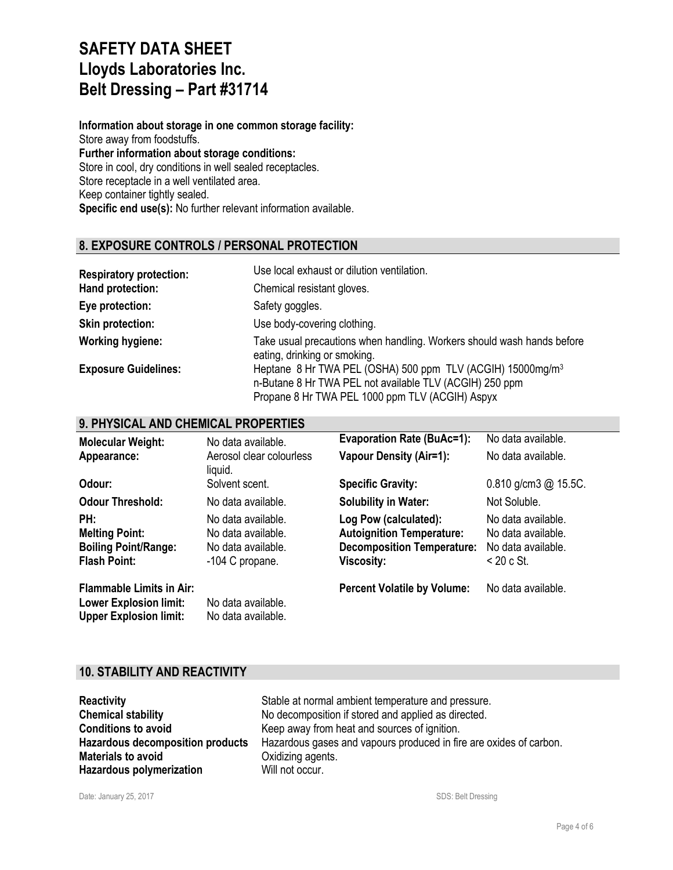**Information about storage in one common storage facility:** Store away from foodstuffs. **Further information about storage conditions:** Store in cool, dry conditions in well sealed receptacles. Store receptacle in a well ventilated area. Keep container tightly sealed. **Specific end use(s):** No further relevant information available.

## **8. EXPOSURE CONTROLS / PERSONAL PROTECTION**

| <b>Respiratory protection:</b> | Use local exhaust or dilution ventilation.                                                                                                                                           |
|--------------------------------|--------------------------------------------------------------------------------------------------------------------------------------------------------------------------------------|
| Hand protection:               | Chemical resistant gloves.                                                                                                                                                           |
| Eye protection:                | Safety goggles.                                                                                                                                                                      |
| <b>Skin protection:</b>        | Use body-covering clothing.                                                                                                                                                          |
| <b>Working hygiene:</b>        | Take usual precautions when handling. Workers should wash hands before<br>eating, drinking or smoking.                                                                               |
| <b>Exposure Guidelines:</b>    | Heptane 8 Hr TWA PEL (OSHA) 500 ppm TLV (ACGIH) 15000mg/m <sup>3</sup><br>n-Butane 8 Hr TWA PEL not available TLV (ACGIH) 250 ppm<br>Propane 8 Hr TWA PEL 1000 ppm TLV (ACGIH) Aspyx |

## **9. PHYSICAL AND CHEMICAL PROPERTIES**

| <b>Molecular Weight:</b>                                                                          | No data available.                                                                | <b>Evaporation Rate (BuAc=1):</b>                                                                                   | No data available.                                                             |
|---------------------------------------------------------------------------------------------------|-----------------------------------------------------------------------------------|---------------------------------------------------------------------------------------------------------------------|--------------------------------------------------------------------------------|
| Appearance:                                                                                       | Aerosol clear colourless<br>liquid.                                               | <b>Vapour Density (Air=1):</b>                                                                                      | No data available.                                                             |
| Odour:                                                                                            | Solvent scent.                                                                    | <b>Specific Gravity:</b>                                                                                            | $0.810$ g/cm3 @ 15.5C.                                                         |
| <b>Odour Threshold:</b>                                                                           | No data available.                                                                | <b>Solubility in Water:</b>                                                                                         | Not Soluble.                                                                   |
| PH:<br><b>Melting Point:</b><br><b>Boiling Point/Range:</b><br><b>Flash Point:</b>                | No data available.<br>No data available.<br>No data available.<br>-104 C propane. | Log Pow (calculated):<br><b>Autoignition Temperature:</b><br><b>Decomposition Temperature:</b><br><b>Viscosity:</b> | No data available.<br>No data available.<br>No data available.<br>$<$ 20 c St. |
| <b>Flammable Limits in Air:</b><br><b>Lower Explosion limit:</b><br><b>Upper Explosion limit:</b> | No data available.<br>No data available.                                          | <b>Percent Volatile by Volume:</b>                                                                                  | No data available.                                                             |

### **10. STABILITY AND REACTIVITY**

| <b>Reactivity</b>                       | Stable at normal ambient temperature and pressure.                 |
|-----------------------------------------|--------------------------------------------------------------------|
| <b>Chemical stability</b>               | No decomposition if stored and applied as directed.                |
| <b>Conditions to avoid</b>              | Keep away from heat and sources of ignition.                       |
| <b>Hazardous decomposition products</b> | Hazardous gases and vapours produced in fire are oxides of carbon. |
| <b>Materials to avoid</b>               | Oxidizing agents.                                                  |
| <b>Hazardous polymerization</b>         | Will not occur.                                                    |
|                                         |                                                                    |

Date: January 25, 2017 SDS: Belt Dressing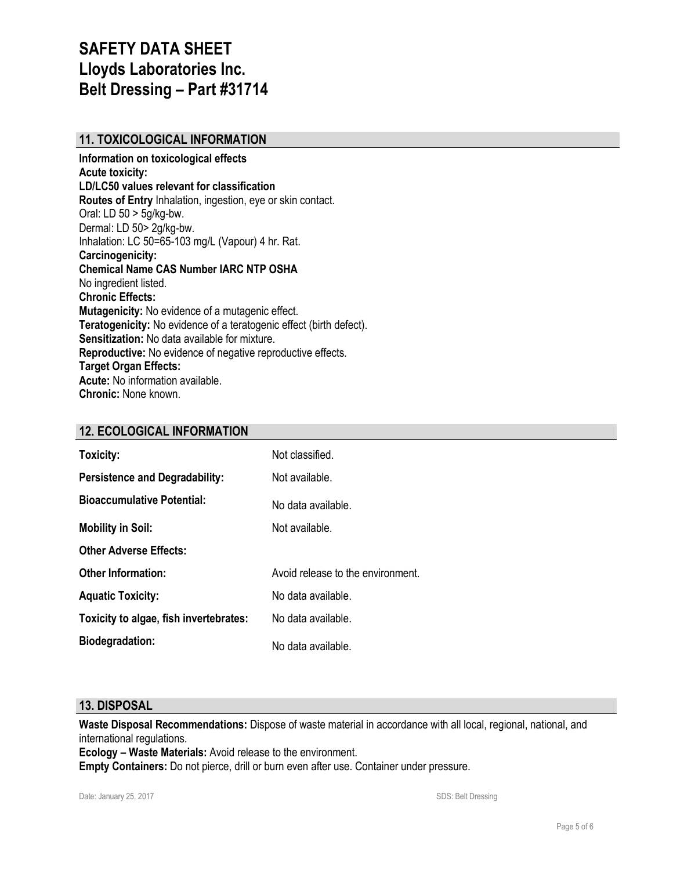# **11. TOXICOLOGICAL INFORMATION**

**Information on toxicological effects Acute toxicity: LD/LC50 values relevant for classification Routes of Entry** Inhalation, ingestion, eye or skin contact. Oral: LD 50 > 5g/kg-bw. Dermal: LD 50> 2g/kg-bw. Inhalation: LC 50=65-103 mg/L (Vapour) 4 hr. Rat. **Carcinogenicity: Chemical Name CAS Number IARC NTP OSHA** No ingredient listed. **Chronic Effects: Mutagenicity:** No evidence of a mutagenic effect. **Teratogenicity:** No evidence of a teratogenic effect (birth defect). **Sensitization:** No data available for mixture. **Reproductive:** No evidence of negative reproductive effects. **Target Organ Effects: Acute:** No information available. **Chronic:** None known.

## **12. ECOLOGICAL INFORMATION**

| Toxicity:                              | Not classified.                   |
|----------------------------------------|-----------------------------------|
| <b>Persistence and Degradability:</b>  | Not available.                    |
| <b>Bioaccumulative Potential:</b>      | No data available.                |
| <b>Mobility in Soil:</b>               | Not available.                    |
| <b>Other Adverse Effects:</b>          |                                   |
| <b>Other Information:</b>              | Avoid release to the environment. |
| <b>Aquatic Toxicity:</b>               | No data available.                |
| Toxicity to algae, fish invertebrates: | No data available.                |
| <b>Biodegradation:</b>                 | No data available.                |

#### **13. DISPOSAL**

**Waste Disposal Recommendations:** Dispose of waste material in accordance with all local, regional, national, and international regulations.

**Ecology – Waste Materials:** Avoid release to the environment.

**Empty Containers:** Do not pierce, drill or burn even after use. Container under pressure.